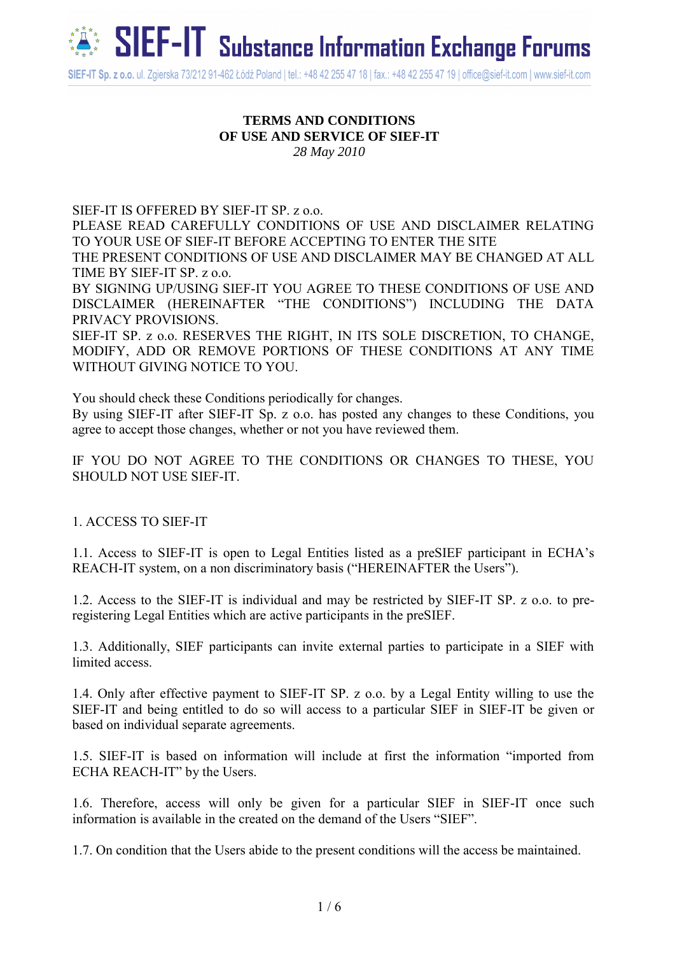

#### **TERMS AND CONDITIONS OF USE AND SERVICE OF SIEF-IT** *28 May 2010*

SIEF-IT IS OFFERED BY SIEF-IT SP. z o.o. PLEASE READ CAREFULLY CONDITIONS OF USE AND DISCLAIMER RELATING TO YOUR USE OF SIEF-IT BEFORE ACCEPTING TO ENTER THE SITE THE PRESENT CONDITIONS OF USE AND DISCLAIMER MAY BE CHANGED AT ALL TIME BY SIEF-IT SP. z o.o. BY SIGNING UP/USING SIEF-IT YOU AGREE TO THESE CONDITIONS OF USE AND DISCLAIMER (HEREINAFTER "THE CONDITIONS") INCLUDING THE DATA PRIVACY PROVISIONS. SIEF-IT SP. z o.o. RESERVES THE RIGHT, IN ITS SOLE DISCRETION, TO CHANGE, MODIFY, ADD OR REMOVE PORTIONS OF THESE CONDITIONS AT ANY TIME WITHOUT GIVING NOTICE TO YOU.

You should check these Conditions periodically for changes.

By using SIEF-IT after SIEF-IT Sp. z o.o. has posted any changes to these Conditions, you agree to accept those changes, whether or not you have reviewed them.

IF YOU DO NOT AGREE TO THE CONDITIONS OR CHANGES TO THESE, YOU SHOULD NOT USE SIEF-IT.

1. ACCESS TO SIEF-IT

1.1. Access to SIEF-IT is open to Legal Entities listed as a preSIEF participant in ECHA's REACH-IT system, on a non discriminatory basis ("HEREINAFTER the Users").

1.2. Access to the SIEF-IT is individual and may be restricted by SIEF-IT SP. z o.o. to preregistering Legal Entities which are active participants in the preSIEF.

1.3. Additionally, SIEF participants can invite external parties to participate in a SIEF with limited access.

1.4. Only after effective payment to SIEF-IT SP. z o.o. by a Legal Entity willing to use the SIEF-IT and being entitled to do so will access to a particular SIEF in SIEF-IT be given or based on individual separate agreements.

1.5. SIEF-IT is based on information will include at first the information "imported from ECHA REACH-IT" by the Users.

1.6. Therefore, access will only be given for a particular SIEF in SIEF-IT once such information is available in the created on the demand of the Users "SIEF".

1.7. On condition that the Users abide to the present conditions will the access be maintained.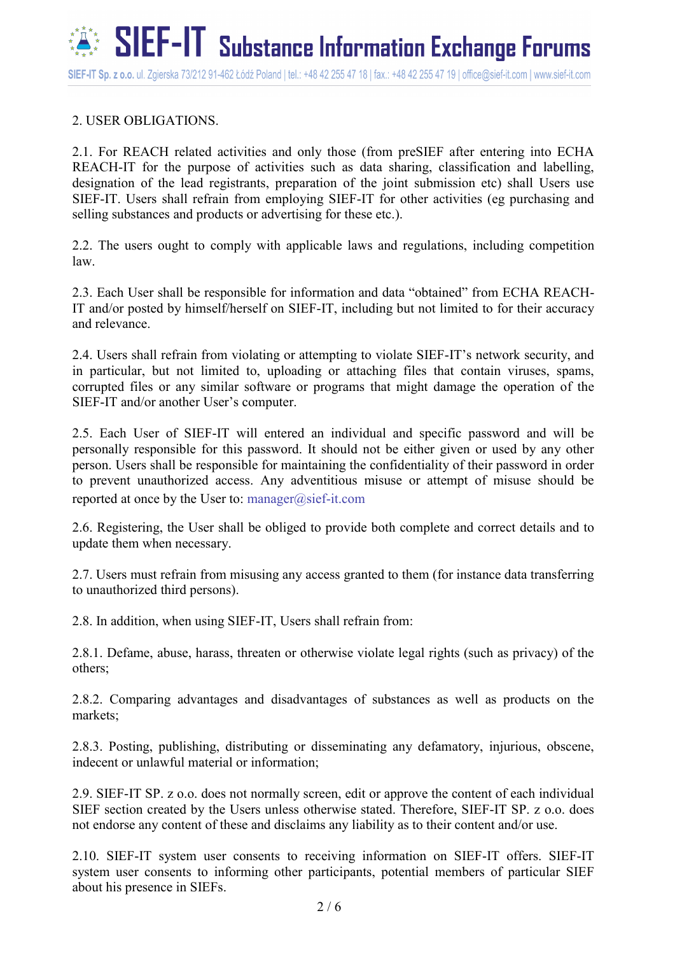# 2. USER OBLIGATIONS.

2.1. For REACH related activities and only those (from preSIEF after entering into ECHA REACH-IT for the purpose of activities such as data sharing, classification and labelling, designation of the lead registrants, preparation of the joint submission etc) shall Users use SIEF-IT. Users shall refrain from employing SIEF-IT for other activities (eg purchasing and selling substances and products or advertising for these etc.).

2.2. The users ought to comply with applicable laws and regulations, including competition law.

2.3. Each User shall be responsible for information and data "obtained" from ECHA REACH-IT and/or posted by himself/herself on SIEF-IT, including but not limited to for their accuracy and relevance.

2.4. Users shall refrain from violating or attempting to violate SIEF-IT's network security, and in particular, but not limited to, uploading or attaching files that contain viruses, spams, corrupted files or any similar software or programs that might damage the operation of the SIEF-IT and/or another User's computer.

2.5. Each User of SIEF-IT will entered an individual and specific password and will be personally responsible for this password. It should not be either given or used by any other person. Users shall be responsible for maintaining the confidentiality of their password in order to prevent unauthorized access. Any adventitious misuse or attempt of misuse should be reported at once by the User to: manager@sief-it.com

2.6. Registering, the User shall be obliged to provide both complete and correct details and to update them when necessary.

2.7. Users must refrain from misusing any access granted to them (for instance data transferring to unauthorized third persons).

2.8. In addition, when using SIEF-IT, Users shall refrain from:

2.8.1. Defame, abuse, harass, threaten or otherwise violate legal rights (such as privacy) of the others;

2.8.2. Comparing advantages and disadvantages of substances as well as products on the markets;

2.8.3. Posting, publishing, distributing or disseminating any defamatory, injurious, obscene, indecent or unlawful material or information;

2.9. SIEF-IT SP. z o.o. does not normally screen, edit or approve the content of each individual SIEF section created by the Users unless otherwise stated. Therefore, SIEF-IT SP. z o.o. does not endorse any content of these and disclaims any liability as to their content and/or use.

2.10. SIEF-IT system user consents to receiving information on SIEF-IT offers. SIEF-IT system user consents to informing other participants, potential members of particular SIEF about his presence in SIEFs.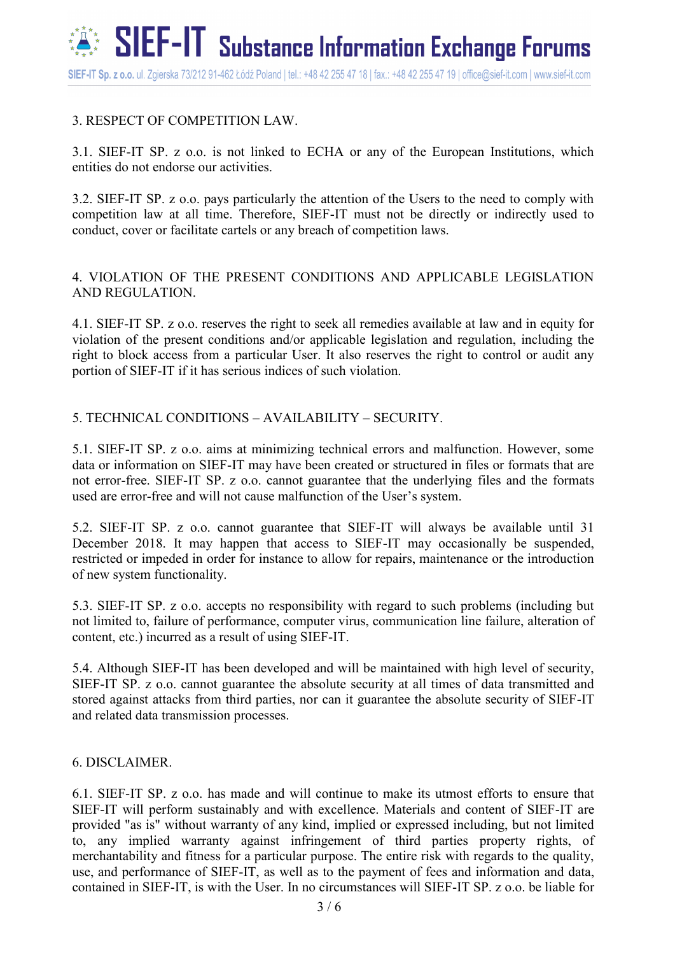# 3. RESPECT OF COMPETITION LAW.

3.1. SIEF-IT SP. z o.o. is not linked to ECHA or any of the European Institutions, which entities do not endorse our activities.

3.2. SIEF-IT SP. z o.o. pays particularly the attention of the Users to the need to comply with competition law at all time. Therefore, SIEF-IT must not be directly or indirectly used to conduct, cover or facilitate cartels or any breach of competition laws.

4. VIOLATION OF THE PRESENT CONDITIONS AND APPLICABLE LEGISLATION AND REGULATION.

4.1. SIEF-IT SP. z o.o. reserves the right to seek all remedies available at law and in equity for violation of the present conditions and/or applicable legislation and regulation, including the right to block access from a particular User. It also reserves the right to control or audit any portion of SIEF-IT if it has serious indices of such violation.

## 5. TECHNICAL CONDITIONS – AVAILABILITY – SECURITY.

5.1. SIEF-IT SP. z o.o. aims at minimizing technical errors and malfunction. However, some data or information on SIEF-IT may have been created or structured in files or formats that are not error-free. SIEF-IT SP. z o.o. cannot guarantee that the underlying files and the formats used are error-free and will not cause malfunction of the User's system.

5.2. SIEF-IT SP. z o.o. cannot guarantee that SIEF-IT will always be available until 31 December 2018. It may happen that access to SIEF-IT may occasionally be suspended, restricted or impeded in order for instance to allow for repairs, maintenance or the introduction of new system functionality.

5.3. SIEF-IT SP. z o.o. accepts no responsibility with regard to such problems (including but not limited to, failure of performance, computer virus, communication line failure, alteration of content, etc.) incurred as a result of using SIEF-IT.

5.4. Although SIEF-IT has been developed and will be maintained with high level of security, SIEF-IT SP. z o.o. cannot guarantee the absolute security at all times of data transmitted and stored against attacks from third parties, nor can it guarantee the absolute security of SIEF-IT and related data transmission processes.

## 6. DISCLAIMER.

6.1. SIEF-IT SP. z o.o. has made and will continue to make its utmost efforts to ensure that SIEF-IT will perform sustainably and with excellence. Materials and content of SIEF-IT are provided "as is" without warranty of any kind, implied or expressed including, but not limited to, any implied warranty against infringement of third parties property rights, of merchantability and fitness for a particular purpose. The entire risk with regards to the quality, use, and performance of SIEF-IT, as well as to the payment of fees and information and data, contained in SIEF-IT, is with the User. In no circumstances will SIEF-IT SP. z o.o. be liable for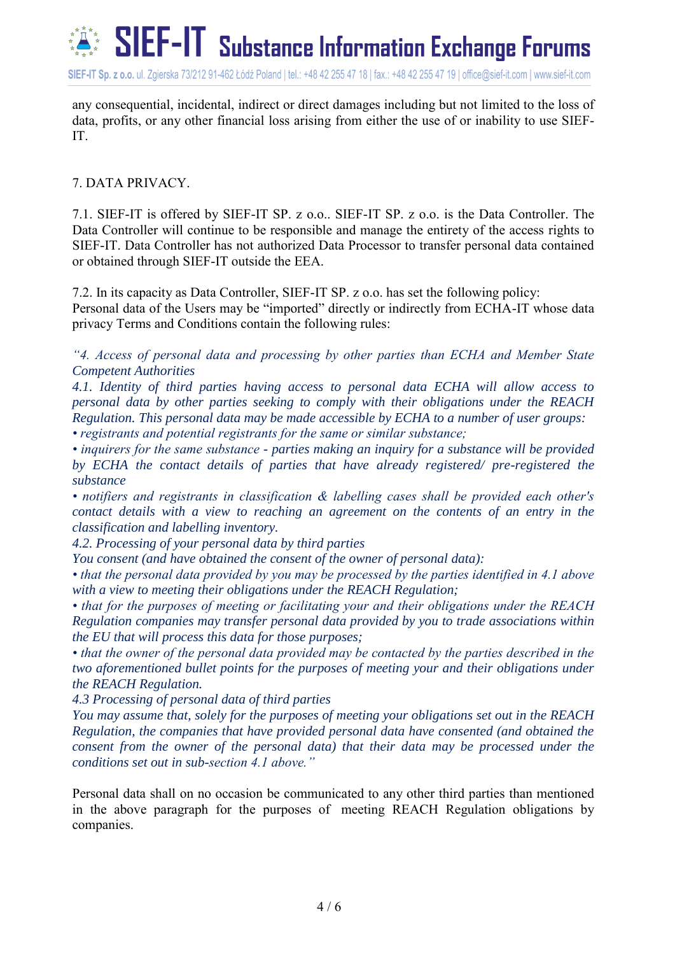

SIEF-IT Sp. z o.o. ul. Zgierska 73/212 91-462 Łódź Poland | tel.: +48 42 255 47 18 | fax.: +48 42 255 47 19 | office@sief-it.com | www.sief-it.com

any consequential, incidental, indirect or direct damages including but not limited to the loss of data, profits, or any other financial loss arising from either the use of or inability to use SIEF-IT.

#### 7. DATA PRIVACY.

7.1. SIEF-IT is offered by SIEF-IT SP. z o.o.. SIEF-IT SP. z o.o. is the Data Controller. The Data Controller will continue to be responsible and manage the entirety of the access rights to SIEF-IT. Data Controller has not authorized Data Processor to transfer personal data contained or obtained through SIEF-IT outside the EEA.

7.2. In its capacity as Data Controller, SIEF-IT SP. z o.o. has set the following policy: Personal data of the Users may be "imported" directly or indirectly from ECHA-IT whose data privacy Terms and Conditions contain the following rules:

*"4. Access of personal data and processing by other parties than ECHA and Member State Competent Authorities*

*4.1. Identity of third parties having access to personal data ECHA will allow access to personal data by other parties seeking to comply with their obligations under the REACH Regulation. This personal data may be made accessible by ECHA to a number of user groups: • registrants and potential registrants for the same or similar substance;*

*• inquirers for the same substance - parties making an inquiry for a substance will be provided by ECHA the contact details of parties that have already registered/ pre-registered the substance*

*• notifiers and registrants in classification & labelling cases shall be provided each other's contact details with a view to reaching an agreement on the contents of an entry in the classification and labelling inventory.*

*4.2. Processing of your personal data by third parties*

*You consent (and have obtained the consent of the owner of personal data):*

*• that the personal data provided by you may be processed by the parties identified in 4.1 above with a view to meeting their obligations under the REACH Regulation;*

*• that for the purposes of meeting or facilitating your and their obligations under the REACH Regulation companies may transfer personal data provided by you to trade associations within the EU that will process this data for those purposes;*

*• that the owner of the personal data provided may be contacted by the parties described in the two aforementioned bullet points for the purposes of meeting your and their obligations under the REACH Regulation.*

*4.3 Processing of personal data of third parties*

*You may assume that, solely for the purposes of meeting your obligations set out in the REACH Regulation, the companies that have provided personal data have consented (and obtained the consent from the owner of the personal data) that their data may be processed under the conditions set out in sub-section 4.1 above."*

Personal data shall on no occasion be communicated to any other third parties than mentioned in the above paragraph for the purposes of meeting REACH Regulation obligations by companies.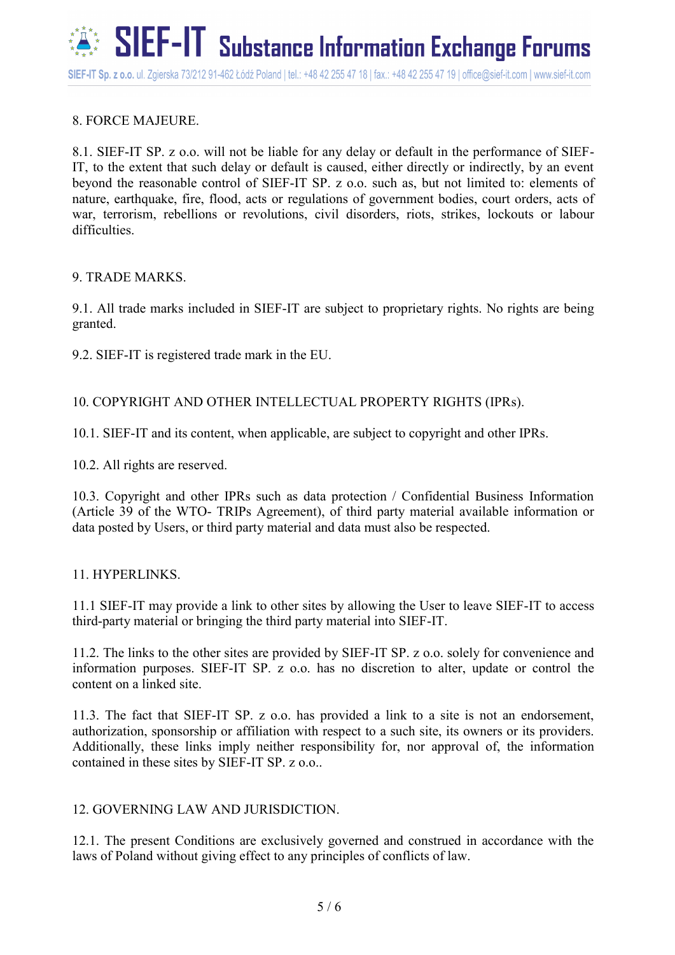# 8. FORCE MAJEURE.

8.1. SIEF-IT SP. z o.o. will not be liable for any delay or default in the performance of SIEF-IT, to the extent that such delay or default is caused, either directly or indirectly, by an event beyond the reasonable control of SIEF-IT SP. z o.o. such as, but not limited to: elements of nature, earthquake, fire, flood, acts or regulations of government bodies, court orders, acts of war, terrorism, rebellions or revolutions, civil disorders, riots, strikes, lockouts or labour difficulties.

#### 9. TRADE MARKS.

9.1. All trade marks included in SIEF-IT are subject to proprietary rights. No rights are being granted.

9.2. SIEF-IT is registered trade mark in the EU.

## 10. COPYRIGHT AND OTHER INTELLECTUAL PROPERTY RIGHTS (IPRs).

10.1. SIEF-IT and its content, when applicable, are subject to copyright and other IPRs.

10.2. All rights are reserved.

10.3. Copyright and other IPRs such as data protection / Confidential Business Information (Article 39 of the WTO- TRIPs Agreement), of third party material available information or data posted by Users, or third party material and data must also be respected.

## 11. HYPERLINKS.

11.1 SIEF-IT may provide a link to other sites by allowing the User to leave SIEF-IT to access third-party material or bringing the third party material into SIEF-IT.

11.2. The links to the other sites are provided by SIEF-IT SP. z o.o. solely for convenience and information purposes. SIEF-IT SP. z o.o. has no discretion to alter, update or control the content on a linked site.

11.3. The fact that SIEF-IT SP. z o.o. has provided a link to a site is not an endorsement, authorization, sponsorship or affiliation with respect to a such site, its owners or its providers. Additionally, these links imply neither responsibility for, nor approval of, the information contained in these sites by SIEF-IT SP. z o.o..

## 12. GOVERNING LAW AND JURISDICTION.

12.1. The present Conditions are exclusively governed and construed in accordance with the laws of Poland without giving effect to any principles of conflicts of law.